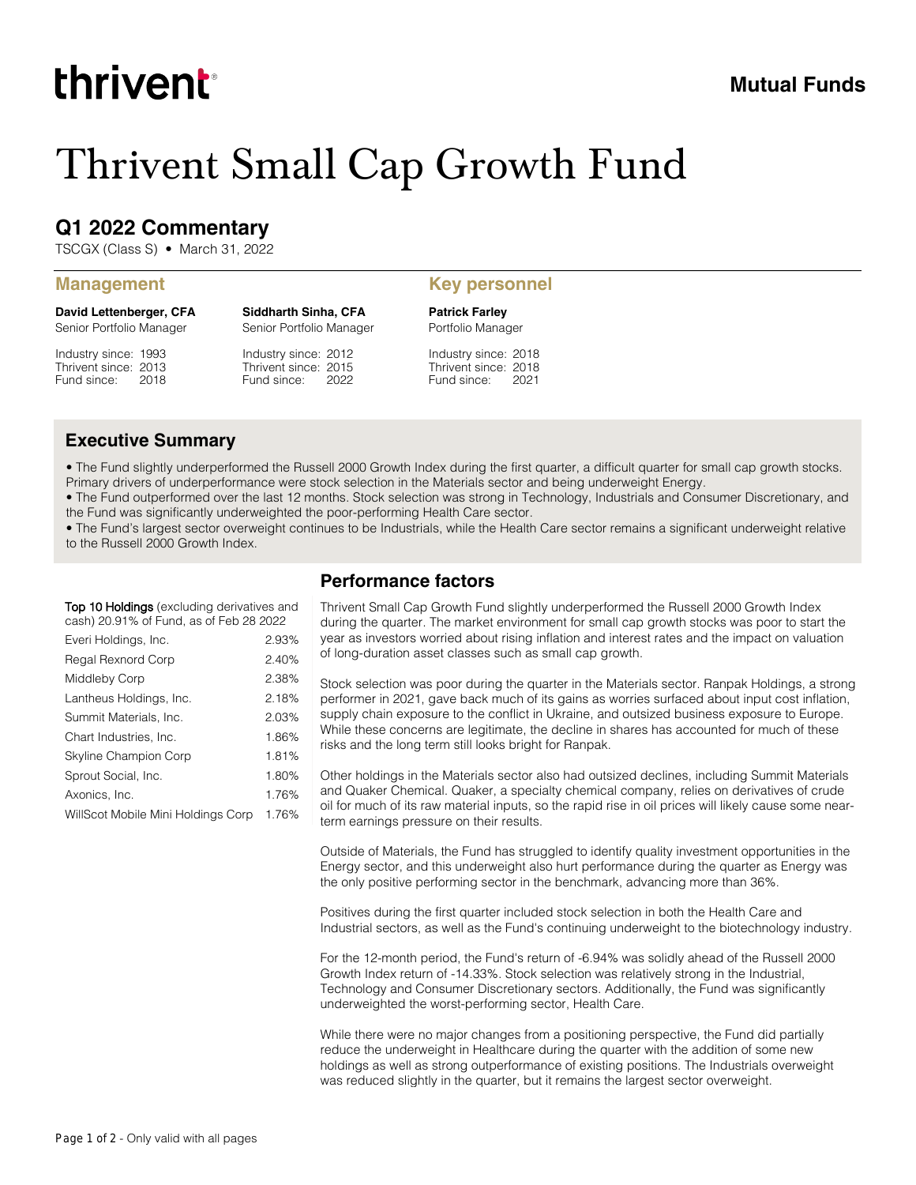# thrivent

# Thrivent Small Cap Growth Fund

# **Q1 2022 Commentary**

TSCGX (Class S) • March 31, 2022

**David Lettenberger, CFA** Senior Portfolio Manager

Industry since: 1993 Thrivent since: 2013 Fund since: 2018

Industry since: 2012 Thrivent since: 2015 Senior Portfolio Manager

**Siddharth Sinha, CFA**

Fund since: 2022

#### **Management Key personnel**

**Patrick Farley** Portfolio Manager

Industry since: 2018 Thrivent since: 2018 Fund since: 2021

### **Executive Summary**

• The Fund slightly underperformed the Russell 2000 Growth Index during the first quarter, a difficult quarter for small cap growth stocks. Primary drivers of underperformance were stock selection in the Materials sector and being underweight Energy.

• The Fund outperformed over the last 12 months. Stock selection was strong in Technology, Industrials and Consumer Discretionary, and the Fund was significantly underweighted the poor-performing Health Care sector.

• The Fund's largest sector overweight continues to be Industrials, while the Health Care sector remains a significant underweight relative to the Russell 2000 Growth Index.

**Top 10 Holdings** (excluding derivatives and cash) 20.91% of Fund, as of Feb 28 2022

| Everi Holdings, Inc.               | 2.93% |
|------------------------------------|-------|
| Regal Rexnord Corp                 | 2.40% |
| Middleby Corp                      | 2.38% |
| Lantheus Holdings, Inc.            | 2.18% |
| Summit Materials, Inc.             | 2.03% |
| Chart Industries, Inc.             | 1.86% |
| Skyline Champion Corp              | 1.81% |
| Sprout Social, Inc.                | 1.80% |
| Axonics, Inc.                      | 1.76% |
| WillScot Mobile Mini Holdings Corp | 1.76% |

### **Performance factors**

Thrivent Small Cap Growth Fund slightly underperformed the Russell 2000 Growth Index during the quarter. The market environment for small cap growth stocks was poor to start the year as investors worried about rising inflation and interest rates and the impact on valuation of long-duration asset classes such as small cap growth.

Stock selection was poor during the quarter in the Materials sector. Ranpak Holdings, a strong performer in 2021, gave back much of its gains as worries surfaced about input cost inflation, supply chain exposure to the conflict in Ukraine, and outsized business exposure to Europe. While these concerns are legitimate, the decline in shares has accounted for much of these risks and the long term still looks bright for Ranpak.

Other holdings in the Materials sector also had outsized declines, including Summit Materials and Quaker Chemical. Quaker, a specialty chemical company, relies on derivatives of crude oil for much of its raw material inputs, so the rapid rise in oil prices will likely cause some nearterm earnings pressure on their results.

Outside of Materials, the Fund has struggled to identify quality investment opportunities in the Energy sector, and this underweight also hurt performance during the quarter as Energy was the only positive performing sector in the benchmark, advancing more than 36%.

Positives during the first quarter included stock selection in both the Health Care and Industrial sectors, as well as the Fund's continuing underweight to the biotechnology industry.

For the 12-month period, the Fund's return of -6.94% was solidly ahead of the Russell 2000 Growth Index return of -14.33%. Stock selection was relatively strong in the Industrial, Technology and Consumer Discretionary sectors. Additionally, the Fund was significantly underweighted the worst-performing sector, Health Care.

While there were no major changes from a positioning perspective, the Fund did partially reduce the underweight in Healthcare during the quarter with the addition of some new holdings as well as strong outperformance of existing positions. The Industrials overweight was reduced slightly in the quarter, but it remains the largest sector overweight.